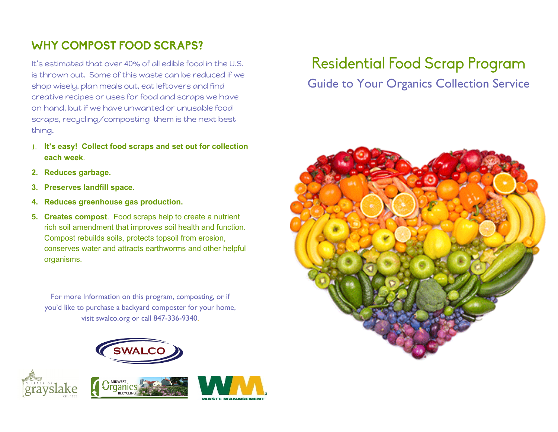## **WHY COMPOST FOOD SCRAPS?**

It's estimated that over 40% of all edible food in the U.S. is thrown out. Some of this waste can be reduced if we shop wisely, plan meals out, eat leftovers and find creative recipes or uses for food and scraps we have on hand, but if we have unwanted or unusable food scraps, recycling/composting them is the next best thing.

- **It's easy! Collect food scraps and set out for collection each week**.
- **2. Reduces garbage.**
- **3. Preserves landfill space.**
- **4. Reduces greenhouse gas production.**
- **5. Creates compost**. Food scraps help to create a nutrient rich soil amendment that improves soil health and function. Compost rebuilds soils, protects topsoil from erosion, conserves water and attracts earthworms and other helpful organisms.

For more Information on this program, composting, or if you'd like to purchase a backyard composter for your home, visit swalco.org or call 847-336-9340.









## **Residential Food Scrap Program**

## Guide to Your Organics Collection Service